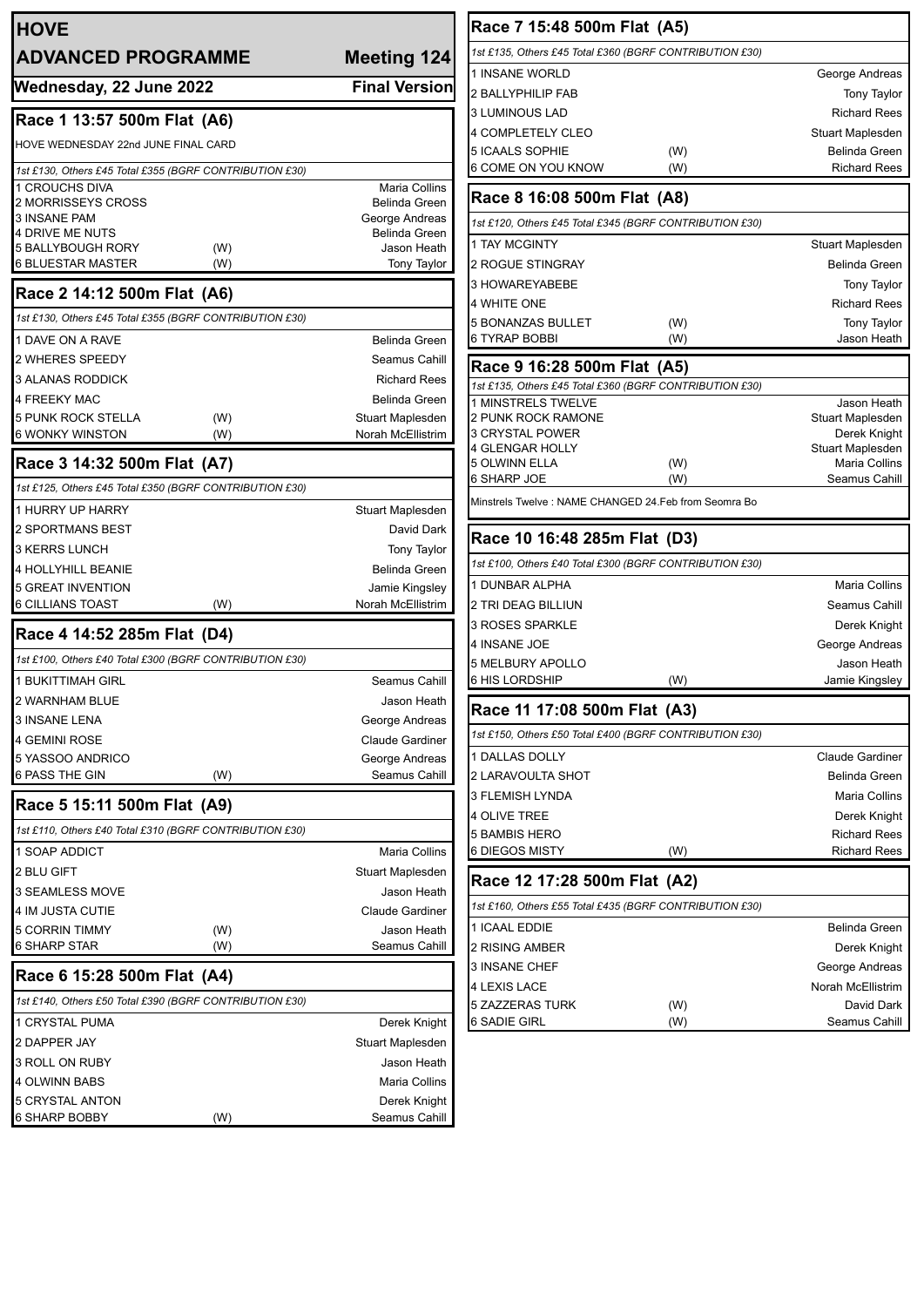| <b>HOVE</b>                                             |            |                                       |
|---------------------------------------------------------|------------|---------------------------------------|
| <b>ADVANCED PROGRAMME</b>                               |            | <b>Meeting 124</b>                    |
| Wednesday, 22 June 2022                                 |            | <b>Final Version</b>                  |
| Race 1 13:57 500m Flat (A6)                             |            |                                       |
| HOVE WEDNESDAY 22nd JUNE FINAL CARD                     |            |                                       |
| 1st £130, Others £45 Total £355 (BGRF CONTRIBUTION £30) |            |                                       |
| <b>1 CROUCHS DIVA</b>                                   |            | Maria Collins                         |
| 2 MORRISSEYS CROSS                                      |            | <b>Belinda Green</b>                  |
| <b>3 INSANE PAM</b><br>4 DRIVE ME NUTS                  |            | George Andreas<br>Belinda Green       |
| <b>5 BALLYBOUGH RORY</b>                                | (W)        | Jason Heath                           |
| 6 BLUESTAR MASTER                                       | (W)        | <b>Tony Taylor</b>                    |
| Race 2 14:12 500m Flat (A6)                             |            |                                       |
| 1st £130, Others £45 Total £355 (BGRF CONTRIBUTION £30) |            |                                       |
| 1 DAVE ON A RAVE                                        |            | Belinda Green                         |
| 2 WHERES SPEEDY                                         |            | Seamus Cahill                         |
| <b>3 ALANAS RODDICK</b>                                 |            | <b>Richard Rees</b>                   |
| <b>4 FREEKY MAC</b>                                     |            | <b>Belinda Green</b>                  |
| <b>5 PUNK ROCK STELLA</b><br><b>6 WONKY WINSTON</b>     | (W)        | Stuart Maplesden<br>Norah McEllistrim |
|                                                         | (W)        |                                       |
| Race 3 14:32 500m Flat (A7)                             |            |                                       |
| 1st £125, Others £45 Total £350 (BGRF CONTRIBUTION £30) |            |                                       |
| 1 HURRY UP HARRY                                        |            | Stuart Maplesden                      |
| <b>2 SPORTMANS BEST</b>                                 |            | David Dark                            |
| 3 KERRS LUNCH                                           |            | <b>Tony Taylor</b>                    |
| <b>4 HOLLYHILL BEANIE</b>                               |            | <b>Belinda Green</b>                  |
| <b>5 GREAT INVENTION</b><br>6 CILLIANS TOAST            | (W)        | Jamie Kingsley<br>Norah McEllistrim   |
| Race 4 14:52 285m Flat (D4)                             |            |                                       |
| 1st £100, Others £40 Total £300 (BGRF CONTRIBUTION £30) |            |                                       |
| 1 BUKITTIMAH GIRL                                       |            | Seamus Cahill                         |
| 2 WARNHAM BLUE                                          |            | Jason Heath                           |
| <b>3 INSANE LENA</b>                                    |            | George Andreas                        |
| 4 GEMINI ROSE                                           |            | <b>Claude Gardiner</b>                |
| 5 YASSOO ANDRICO                                        |            | George Andreas                        |
| 6 PASS THE GIN                                          | (W)        | Seamus Cahill                         |
| Race 5 15:11 500m Flat (A9)                             |            |                                       |
| 1st £110, Others £40 Total £310 (BGRF CONTRIBUTION £30) |            |                                       |
| 1 SOAP ADDICT                                           |            | Maria Collins                         |
| 2 BLU GIFT                                              |            | Stuart Maplesden                      |
| 3 SEAMLESS MOVE                                         |            | Jason Heath                           |
| 4 IM JUSTA CUTIE                                        |            | Claude Gardiner                       |
| 5 CORRIN TIMMY<br>6 SHARP STAR                          | (W)<br>(W) | Jason Heath<br>Seamus Cahill          |
| Race 6 15:28 500m Flat (A4)                             |            |                                       |
|                                                         |            |                                       |
| 1st £140, Others £50 Total £390 (BGRF CONTRIBUTION £30) |            |                                       |
| 1 CRYSTAL PUMA                                          |            | Derek Knight                          |
| 2 DAPPER JAY                                            |            | Stuart Maplesden                      |
| 3 ROLL ON RUBY                                          |            | Jason Heath                           |
| 4 OLWINN BABS<br>5 CRYSTAL ANTON                        |            | Maria Collins<br>Derek Knight         |
| 6 SHARP BOBBY                                           | (W)        | Seamus Cahill                         |

| Race 7 15:48 500m Flat (A5)                             |            |                                 |  |  |
|---------------------------------------------------------|------------|---------------------------------|--|--|
| 1st £135, Others £45 Total £360 (BGRF CONTRIBUTION £30) |            |                                 |  |  |
| 1 INSANE WORLD                                          |            | George Andreas                  |  |  |
| 2 BALLYPHILIP FAB                                       |            | <b>Tony Taylor</b>              |  |  |
| 3 LUMINOUS LAD                                          |            | <b>Richard Rees</b>             |  |  |
| 4 COMPLETELY CLEO                                       |            | Stuart Maplesden                |  |  |
| 5 ICAALS SOPHIE                                         | (W)        | Belinda Green                   |  |  |
| 6 COME ON YOU KNOW                                      | (W)        | <b>Richard Rees</b>             |  |  |
| Race 8 16:08 500m Flat (A8)                             |            |                                 |  |  |
| 1st £120, Others £45 Total £345 (BGRF CONTRIBUTION £30) |            |                                 |  |  |
| <b>1 TAY MCGINTY</b>                                    |            | Stuart Maplesden                |  |  |
| 2 ROGUE STINGRAY                                        |            | Belinda Green                   |  |  |
| 3 HOWAREYABEBE                                          |            | Tony Taylor                     |  |  |
| 4 WHITE ONE                                             |            | <b>Richard Rees</b>             |  |  |
| 5 BONANZAS BULLET                                       | (W)        | <b>Tony Taylor</b>              |  |  |
| 6 TYRAP BOBBI                                           | (W)        | Jason Heath                     |  |  |
| Race 9 16:28 500m Flat (A5)                             |            |                                 |  |  |
| 1st £135, Others £45 Total £360 (BGRF CONTRIBUTION £30) |            |                                 |  |  |
| 1 MINSTRELS TWELVE<br>2 PUNK ROCK RAMONE                |            | Jason Heath<br>Stuart Maplesden |  |  |
| <b>3 CRYSTAL POWER</b>                                  |            | Derek Knight                    |  |  |
| 4 GLENGAR HOLLY                                         |            | Stuart Maplesden                |  |  |
| 5 OLWINN ELLA<br>6 SHARP JOE                            | (W)<br>(W) | Maria Collins<br>Seamus Cahill  |  |  |
|                                                         |            |                                 |  |  |
| Minstrels Twelve : NAME CHANGED 24.Feb from Seomra Bo   |            |                                 |  |  |
| Race 10 16:48 285m Flat (D3)                            |            |                                 |  |  |
| 1st £100, Others £40 Total £300 (BGRF CONTRIBUTION £30) |            |                                 |  |  |
| 1 DUNBAR ALPHA                                          |            | Maria Collins                   |  |  |
| 2 TRI DEAG BILLIUN                                      |            | Seamus Cahill                   |  |  |
| 3 ROSES SPARKLE                                         |            | Derek Knight                    |  |  |
| 4 INSANE JOE                                            |            | George Andreas                  |  |  |
| 5 MELBURY APOLLO                                        |            | Jason Heath                     |  |  |
| 6 HIS LORDSHIP                                          | (W)        | Jamie Kingsley                  |  |  |
| Race 11 17:08 500m Flat (A3)                            |            |                                 |  |  |
| 1st £150, Others £50 Total £400 (BGRF CONTRIBUTION £30) |            |                                 |  |  |
| 1 DALLAS DOLLY                                          |            | <b>Claude Gardiner</b>          |  |  |
| 2 LARAVOULTA SHOT                                       |            | Belinda Green                   |  |  |
| 3 FLEMISH LYNDA                                         |            | Maria Collins                   |  |  |
| 4 OLIVE TREE                                            |            | Derek Knight                    |  |  |
| 5 BAMBIS HERO                                           |            | <b>Richard Rees</b>             |  |  |
| 6 DIEGOS MISTY                                          | (W)        | <b>Richard Rees</b>             |  |  |
| Race 12 17:28 500m Flat (A2)                            |            |                                 |  |  |
| 1st £160, Others £55 Total £435 (BGRF CONTRIBUTION £30) |            |                                 |  |  |
| 1 ICAAL EDDIE                                           |            | Belinda Green                   |  |  |
| 2 RISING AMBER                                          |            | Derek Knight                    |  |  |
| 3 INSANE CHEF                                           |            | George Andreas                  |  |  |
| 4 LEXIS LACE                                            |            | Norah McEllistrim               |  |  |
| 5 ZAZZERAS TURK                                         | (W)        | David Dark                      |  |  |
| 6 SADIE GIRL                                            | (W)        | Seamus Cahill                   |  |  |
|                                                         |            |                                 |  |  |